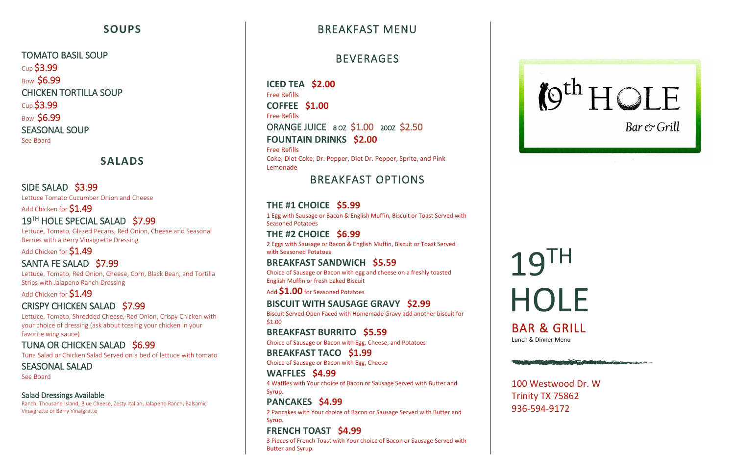## **SOUPS**

TOMATO BASIL SOUP Cup \$3.99 **Bowl \$6.99** CHICKEN TORTILLA SOUP Cup \$3.99 **Bowl \$6.99** SEASONAL SOUP See Board

#### **SALADS**

#### SIDE SALAD \$3.99

Lettuce Tomato Cucumber Onion and Cheese

#### Add Chicken for **\$1.49** 19<sup>TH</sup> HOLE SPECIAL SALAD \$7.99

Lettuce, Tomato, Glazed Pecans, Red Onion, Cheese and Seasonal Berries with a Berry Vinaigrette Dressing

Add Chicken for **\$1.49** 

#### SANTA FE SALAD \$7.99

Lettuce, Tomato, Red Onion, Cheese, Corn, Black Bean, and Tortilla Strips with Jalapeno Ranch Dressing

Add Chicken for \$1.49

#### CRISPY CHICKEN SALAD \$7.99

Lettuce, Tomato, Shredded Cheese, Red Onion, Crispy Chicken with your choice of dressing (ask about tossing your chicken in your favorite wing sauce)

#### TUNA OR CHICKEN SALAD \$6.99

Tuna Salad or Chicken Salad Served on a bed of lettuce with tomato

SEASONAL SALAD See Board

#### Salad Dressings Available

Ranch, Thousand Island, Blue Cheese, Zesty Italian, Jalapeno Ranch, Balsamic Vinaigrette or Berry Vinaigrette

# BREAKFAST MENU

# BEVERAGES

**ICED TEA \$2.00** Free Refills **COFFEE \$1.00** Free Refills ORANGE JUICE 8 OZ \$1.00 20OZ \$2.50 **FOUNTAIN DRINKS \$2.00**

# **HOLE** BAR & GRILL

Free Refills Coke, Diet Coke, Dr. Pepper, Diet Dr. Pepper, Sprite, and Pink Lemonade

# BREAKFAST OPTIONS

#### **THE #1 CHOICE \$5.99**

1 Egg with Sausage or Bacon & English Muffin, Biscuit or Toast Served with Seasoned Potatoes

#### **THE #2 CHOICE \$6.99**

2 Eggs with Sausage or Bacon & English Muffin, Biscuit or Toast Served with Seasoned Potatoes

#### **BREAKFAST SANDWICH \$5.59**

Choice of Sausage or Bacon with egg and cheese on a freshly toasted English Muffin or fresh baked Biscuit

Add **\$1.00** for Seasoned Potatoes

## **BISCUIT WITH SAUSAGE GRAVY \$2.99**

Biscuit Served Open Faced with Homemade Gravy add another biscuit for \$1.00

#### **BREAKFAST BURRITO \$5.59**

Choice of Sausage or Bacon with Egg, Cheese, and Potatoes

**BREAKFAST TACO \$1.99**

Choice of Sausage or Bacon with Egg, Cheese

#### **WAFFLES \$4.99** 4 Waffles with Your choice of Bacon or Sausage Served with Butter and

Syrup.

# **PANCAKES \$4.99**

2 Pancakes with Your choice of Bacon or Sausage Served with Butter and Syrup.

## **FRENCH TOAST \$4.99**

3 Pieces of French Toast with Your choice of Bacon or Sausage Served with Butter and Syrup.





100 Westwood Dr. W Trinity TX 75862 936-594-9172